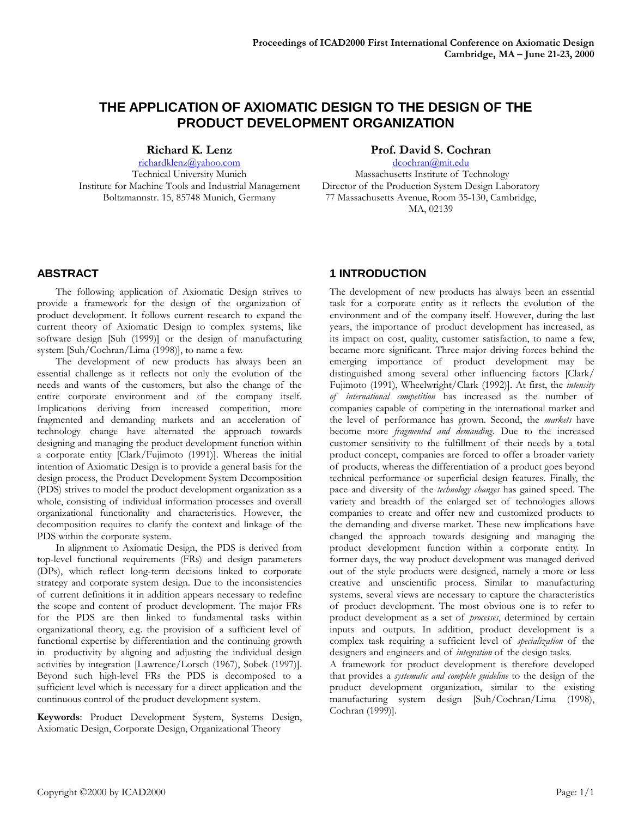# **THE APPLICATION OF AXIOMATIC DESIGN TO THE DESIGN OF THE PRODUCT DEVELOPMENT ORGANIZATION**

**Richard K. Lenz**

richardklenz@yahoo.com Technical University Munich Institute for Machine Tools and Industrial Management Boltzmannstr. 15, 85748 Munich, Germany

### **Prof. David S. Cochran**

dcochran@mit.edu Massachusetts Institute of Technology Director of the Production System Design Laboratory 77 Massachusetts Avenue, Room 35-130, Cambridge, MA, 02139

## **ABSTRACT**

The following application of Axiomatic Design strives to provide a framework for the design of the organization of product development. It follows current research to expand the current theory of Axiomatic Design to complex systems, like software design [Suh (1999)] or the design of manufacturing system [Suh/Cochran/Lima (1998)], to name a few.

The development of new products has always been an essential challenge as it reflects not only the evolution of the needs and wants of the customers, but also the change of the entire corporate environment and of the company itself. Implications deriving from increased competition, more fragmented and demanding markets and an acceleration of technology change have alternated the approach towards designing and managing the product development function within a corporate entity [Clark/Fujimoto (1991)]. Whereas the initial intention of Axiomatic Design is to provide a general basis for the design process, the Product Development System Decomposition (PDS) strives to model the product development organization as a whole, consisting of individual information processes and overall organizational functionality and characteristics. However, the decomposition requires to clarify the context and linkage of the PDS within the corporate system.

In alignment to Axiomatic Design, the PDS is derived from top-level functional requirements (FRs) and design parameters (DPs), which reflect long-term decisions linked to corporate strategy and corporate system design. Due to the inconsistencies of current definitions it in addition appears necessary to redefine the scope and content of product development. The major FRs for the PDS are then linked to fundamental tasks within organizational theory, e.g. the provision of a sufficient level of functional expertise by differentiation and the continuing growth in productivity by aligning and adjusting the individual design activities by integration [Lawrence/Lorsch (1967), Sobek (1997)]. Beyond such high-level FRs the PDS is decomposed to a sufficient level which is necessary for a direct application and the continuous control of the product development system.

**Keywords**: Product Development System, Systems Design, Axiomatic Design, Corporate Design, Organizational Theory

## **1 INTRODUCTION**

The development of new products has always been an essential task for a corporate entity as it reflects the evolution of the environment and of the company itself. However, during the last years, the importance of product development has increased, as its impact on cost, quality, customer satisfaction, to name a few, became more significant. Three major driving forces behind the emerging importance of product development may be distinguished among several other influencing factors [Clark/ Fujimoto (1991), Wheelwright/Clark (1992)]. At first, the *intensity of international competition* has increased as the number of companies capable of competing in the international market and the level of performance has grown. Second, the *markets* have become more *fragmented and demanding*. Due to the increased customer sensitivity to the fulfillment of their needs by a total product concept, companies are forced to offer a broader variety of products, whereas the differentiation of a product goes beyond technical performance or superficial design features. Finally, the pace and diversity of the *technology changes* has gained speed. The variety and breadth of the enlarged set of technologies allows companies to create and offer new and customized products to the demanding and diverse market. These new implications have changed the approach towards designing and managing the product development function within a corporate entity. In former days, the way product development was managed derived out of the style products were designed, namely a more or less creative and unscientific process. Similar to manufacturing systems, several views are necessary to capture the characteristics of product development. The most obvious one is to refer to product development as a set of *processes*, determined by certain inputs and outputs. In addition, product development is a complex task requiring a sufficient level of *specialization* of the designers and engineers and of *integration* of the design tasks.

A framework for product development is therefore developed that provides a *systematic and complete guideline* to the design of the product development organization, similar to the existing manufacturing system design [Suh/Cochran/Lima (1998), Cochran (1999)].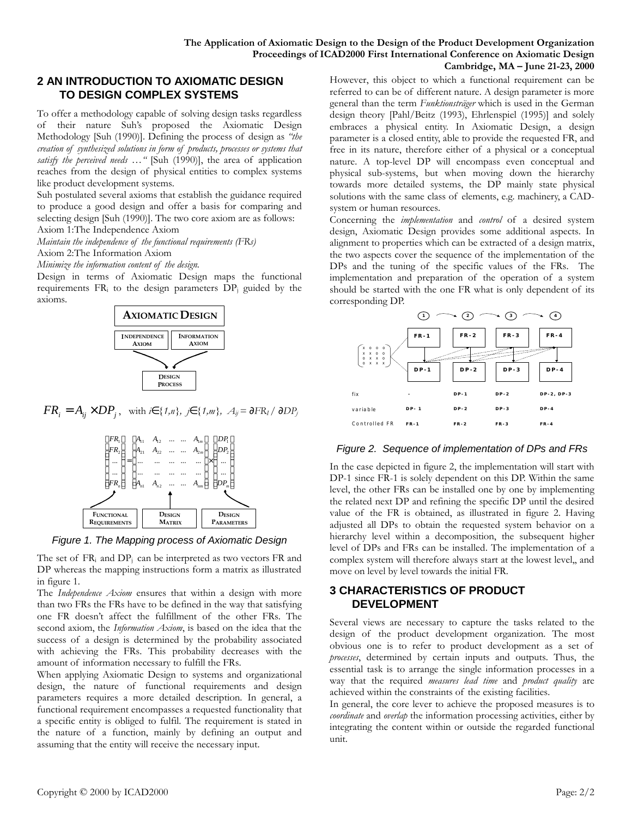## **2 AN INTRODUCTION TO AXIOMATIC DESIGN TO DESIGN COMPLEX SYSTEMS**

To offer a methodology capable of solving design tasks regardless of their nature Suh's proposed the Axiomatic Design Methodology [Suh (1990)]. Defining the process of design as *"the creation of synthesized solutions in form of products, processes or systems that satisfy the perceived needs* ... " [Suh (1990)], the area of application reaches from the design of physical entities to complex systems like product development systems.

Suh postulated several axioms that establish the guidance required to produce a good design and offer a basis for comparing and selecting design [Suh (1990)]. The two core axiom are as follows: Axiom 1:The Independence Axiom

*Maintain the independence of the functional requirements (FRs)*

Axiom 2:The Information Axiom

*Minimize the information content of the design.*

Design in terms of Axiomatic Design maps the functional requirements  $FR_i$  to the design parameters  $DP_i$  guided by the axioms.



 $FR_i = A_{ij} \times DP_j$ , with *i***Î** {1,n}, *j***Î** {1,m},  $A_{ij} = \frac{P}{P_i}R_i / \frac{P}{P_j}P_j$ 



*Figure 1. The Mapping process of Axiomatic Design*

The set of FR<sub>i</sub> and DP<sub>i</sub> can be interpreted as two vectors FR and DP whereas the mapping instructions form a matrix as illustrated in figure 1.

The *Independence Axiom* ensures that within a design with more than two FRs the FRs have to be defined in the way that satisfying one FR doesn't affect the fulfillment of the other FRs. The second axiom, the *Information Axiom*, is based on the idea that the success of a design is determined by the probability associated with achieving the FRs. This probability decreases with the amount of information necessary to fulfill the FRs.

When applying Axiomatic Design to systems and organizational design, the nature of functional requirements and design parameters requires a more detailed description. In general, a functional requirement encompasses a requested functionality that a specific entity is obliged to fulfil. The requirement is stated in the nature of a function, mainly by defining an output and assuming that the entity will receive the necessary input.

However, this object to which a functional requirement can be referred to can be of different nature. A design parameter is more general than the term *Funktionsträger* which is used in the German design theory [Pahl/Beitz (1993), Ehrlenspiel (1995)] and solely embraces a physical entity. In Axiomatic Design, a design parameter is a closed entity, able to provide the requested FR, and free in its nature, therefore either of a physical or a conceptual nature. A top-level DP will encompass even conceptual and physical sub-systems, but when moving down the hierarchy towards more detailed systems, the DP mainly state physical solutions with the same class of elements, e.g. machinery, a CADsystem or human resources.

Concerning the *implementation* and *control* of a desired system design, Axiomatic Design provides some additional aspects. In alignment to properties which can be extracted of a design matrix, the two aspects cover the sequence of the implementation of the DPs and the tuning of the specific values of the FRs. The implementation and preparation of the operation of a system should be started with the one FR what is only dependent of its corresponding DP.



*Figure 2. Sequence of implementation of DPs and FRs*

In the case depicted in figure 2, the implementation will start with DP-1 since FR-1 is solely dependent on this DP. Within the same level, the other FRs can be installed one by one by implementing the related next DP and refining the specific DP until the desired value of the FR is obtained, as illustrated in figure 2. Having adjusted all DPs to obtain the requested system behavior on a hierarchy level within a decomposition, the subsequent higher level of DPs and FRs can be installed. The implementation of a complex system will therefore always start at the lowest level,, and move on level by level towards the initial FR.

## **3 CHARACTERISTICS OF PRODUCT DEVELOPMENT**

Several views are necessary to capture the tasks related to the design of the product development organization. The most obvious one is to refer to product development as a set of *processes*, determined by certain inputs and outputs. Thus, the essential task is to arrange the single information processes in a way that the required *measures lead time* and *product quality* are achieved within the constraints of the existing facilities.

In general, the core lever to achieve the proposed measures is to *coordinate* and *overlap* the information processing activities, either by integrating the content within or outside the regarded functional unit.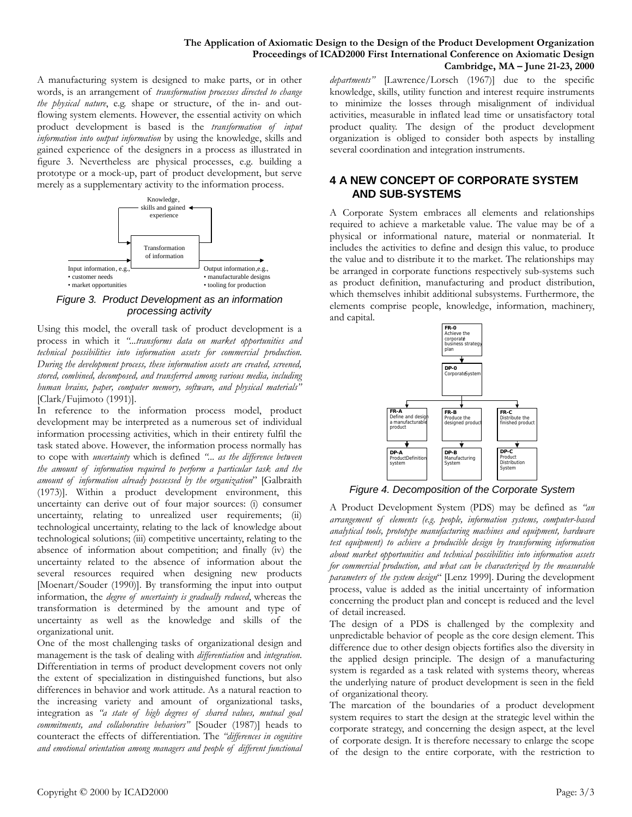#### **The Application of Axiomatic Design to the Design of the Product Development Organization Proceedings of ICAD2000 First International Conference on Axiomatic Design Cambridge, MA – June 21-23, 2000**

A manufacturing system is designed to make parts, or in other words, is an arrangement of *transformation processes directed to change the physical nature*, e.g. shape or structure, of the in- and outflowing system elements. However, the essential activity on which product development is based is the *transformation of input information into output information* by using the knowledge, skills and gained experience of the designers in a process as illustrated in figure 3. Nevertheless are physical processes, e.g. building a prototype or a mock-up, part of product development, but serve merely as a supplementary activity to the information process.



*Figure 3. Product Development as an information processing activity* 

Using this model, the overall task of product development is a process in which it *"...transforms data on market opportunities and technical possibilities into information assets for commercial production. During the development process, these information assets are created, screened, stored, combined, decomposed, and transferred among various media, including human brains, paper, computer memory, software, and physical materials"*  [Clark/Fujimoto (1991)].

In reference to the information process model, product development may be interpreted as a numerous set of individual information processing activities, which in their entirety fulfil the task stated above. However, the information process normally has to cope with *uncertainty* which is defined *"... as the difference between the amount of information required to perform a particular task and the amount of information already possessed by the organization*" [Galbraith (1973)]. Within a product development environment, this uncertainty can derive out of four major sources: (i) consumer uncertainty, relating to unrealized user requirements; (ii) technological uncertainty, relating to the lack of knowledge about technological solutions; (iii) competitive uncertainty, relating to the absence of information about competition; and finally (iv) the uncertainty related to the absence of information about the several resources required when designing new products [Moenart/Souder (1990)]. By transforming the input into output information, the *degree of uncertainty is gradually reduced*, whereas the transformation is determined by the amount and type of uncertainty as well as the knowledge and skills of the organizational unit.

One of the most challenging tasks of organizational design and management is the task of dealing with *differentiation* and *integration*. Differentiation in terms of product development covers not only the extent of specialization in distinguished functions, but also differences in behavior and work attitude. As a natural reaction to the increasing variety and amount of organizational tasks, integration as *"a state of high degrees of shared values, mutual goal commitments, and collaborative behaviors"* [Souder (1987)] heads to counteract the effects of differentiation. The *"differences in cognitive and emotional orientation among managers and people of different functional* 

*departments"* [Lawrence/Lorsch (1967)] due to the specific knowledge, skills, utility function and interest require instruments to minimize the losses through misalignment of individual activities, measurable in inflated lead time or unsatisfactory total product quality. The design of the product development organization is obliged to consider both aspects by installing several coordination and integration instruments.

## **4 A NEW CONCEPT OF CORPORATE SYSTEM AND SUB-SYSTEMS**

A Corporate System embraces all elements and relationships required to achieve a marketable value. The value may be of a physical or informational nature, material or nonmaterial. It includes the activities to define and design this value, to produce the value and to distribute it to the market. The relationships may be arranged in corporate functions respectively sub-systems such as product definition, manufacturing and product distribution, which themselves inhibit additional subsystems. Furthermore, the elements comprise people, knowledge, information, machinery, and capital.



*Figure 4. Decomposition of the Corporate System*

A Product Development System (PDS) may be defined as *"an arrangement of elements (e.g. people, information systems, computer-based analytical tools, prototype manufacturing machines and equipment, hardware test equipment) to achieve a producible design by transforming information about market opportunities and technical possibilities into information assets for commercial production, and what can be characterized by the measurable parameters of the system design*" [Lenz 1999]. During the development process, value is added as the initial uncertainty of information concerning the product plan and concept is reduced and the level of detail increased.

The design of a PDS is challenged by the complexity and unpredictable behavior of people as the core design element. This difference due to other design objects fortifies also the diversity in the applied design principle. The design of a manufacturing system is regarded as a task related with systems theory, whereas the underlying nature of product development is seen in the field of organizational theory.

The marcation of the boundaries of a product development system requires to start the design at the strategic level within the corporate strategy, and concerning the design aspect, at the level of corporate design. It is therefore necessary to enlarge the scope of the design to the entire corporate, with the restriction to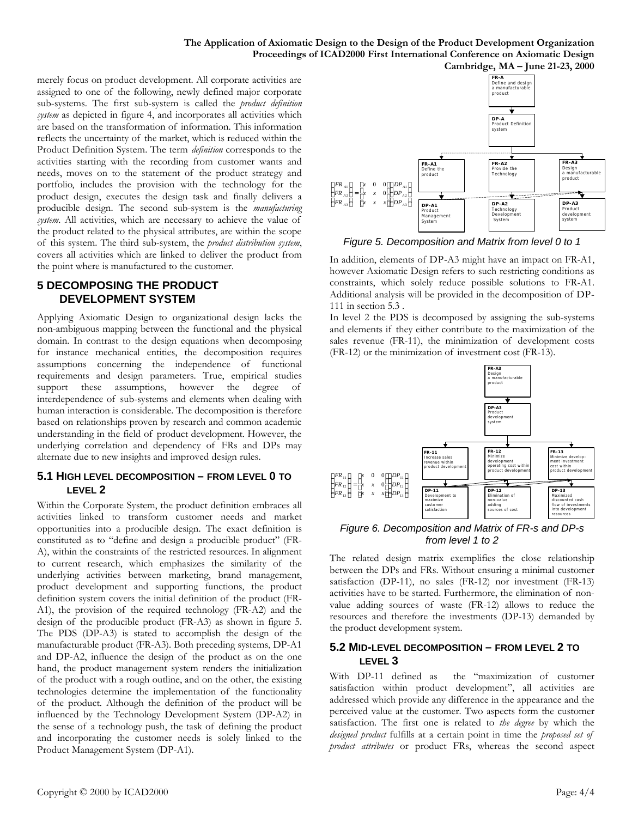**The Application of Axiomatic Design to the Design of the Product Development Organization Proceedings of ICAD2000 First International Conference on Axiomatic Design Cambridge, MA – June 21-23, 2000**

merely focus on product development. All corporate activities are assigned to one of the following, newly defined major corporate sub-systems. The first sub-system is called the *product definition system* as depicted in figure 4, and incorporates all activities which are based on the transformation of information. This information reflects the uncertainty of the market, which is reduced within the Product Definition System. The term *definition* corresponds to the activities starting with the recording from customer wants and needs, moves on to the statement of the product strategy and portfolio, includes the provision with the technology for the product design, executes the design task and finally delivers a producible design. The second sub-system is the *manufacturing system*. All activities, which are necessary to achieve the value of the product related to the physical attributes, are within the scope of this system. The third sub-system, the *product distribution system*, covers all activities which are linked to deliver the product from the point where is manufactured to the customer.

### **5 DECOMPOSING THE PRODUCT DEVELOPMENT SYSTEM**

Applying Axiomatic Design to organizational design lacks the non-ambiguous mapping between the functional and the physical domain. In contrast to the design equations when decomposing for instance mechanical entities, the decomposition requires assumptions concerning the independence of functional requirements and design parameters. True, empirical studies support these assumptions, however the degree of interdependence of sub-systems and elements when dealing with human interaction is considerable. The decomposition is therefore based on relationships proven by research and common academic understanding in the field of product development. However, the underlying correlation and dependency of FRs and DPs may alternate due to new insights and improved design rules.

#### **5.1 HIGH LEVEL DECOMPOSITION – FROM LEVEL 0 TO LEVEL 2**

Within the Corporate System, the product definition embraces all activities linked to transform customer needs and market opportunities into a producible design. The exact definition is constituted as to "define and design a producible product" (FR-A), within the constraints of the restricted resources. In alignment to current research, which emphasizes the similarity of the underlying activities between marketing, brand management, product development and supporting functions, the product definition system covers the initial definition of the product (FR-A1), the provision of the required technology (FR-A2) and the design of the producible product (FR-A3) as shown in figure 5. The PDS (DP-A3) is stated to accomplish the design of the manufacturable product (FR-A3). Both preceding systems, DP-A1 and DP-A2, influence the design of the product as on the one hand, the product management system renders the initialization of the product with a rough outline, and on the other, the existing technologies determine the implementation of the functionality of the product. Although the definition of the product will be influenced by the Technology Development System (DP-A2) in the sense of a technology push, the task of defining the product and incorporating the customer needs is solely linked to the Product Management System (DP-A1).



*Figure 5. Decomposition and Matrix from level 0 to 1*

In addition, elements of DP-A3 might have an impact on FR-A1, however Axiomatic Design refers to such restricting conditions as constraints, which solely reduce possible solutions to FR-A1. Additional analysis will be provided in the decomposition of DP-111 in section 5.3 .

In level 2 the PDS is decomposed by assigning the sub-systems and elements if they either contribute to the maximization of the sales revenue (FR-11), the minimization of development costs (FR-12) or the minimization of investment cost (FR-13).



*Figure 6. Decomposition and Matrix of FR-s and DP-s from level 1 to 2*

The related design matrix exemplifies the close relationship between the DPs and FRs. Without ensuring a minimal customer satisfaction (DP-11), no sales (FR-12) nor investment (FR-13) activities have to be started. Furthermore, the elimination of nonvalue adding sources of waste (FR-12) allows to reduce the resources and therefore the investments (DP-13) demanded by the product development system.

#### **5.2 MID-LEVEL DECOMPOSITION – FROM LEVEL 2 TO LEVEL 3**

With DP-11 defined as the "maximization of customer satisfaction within product development", all activities are addressed which provide any difference in the appearance and the perceived value at the customer. Two aspects form the customer satisfaction. The first one is related to *the degree* by which the *designed product* fulfills at a certain point in time the *proposed set of product attributes* or product FRs, whereas the second aspect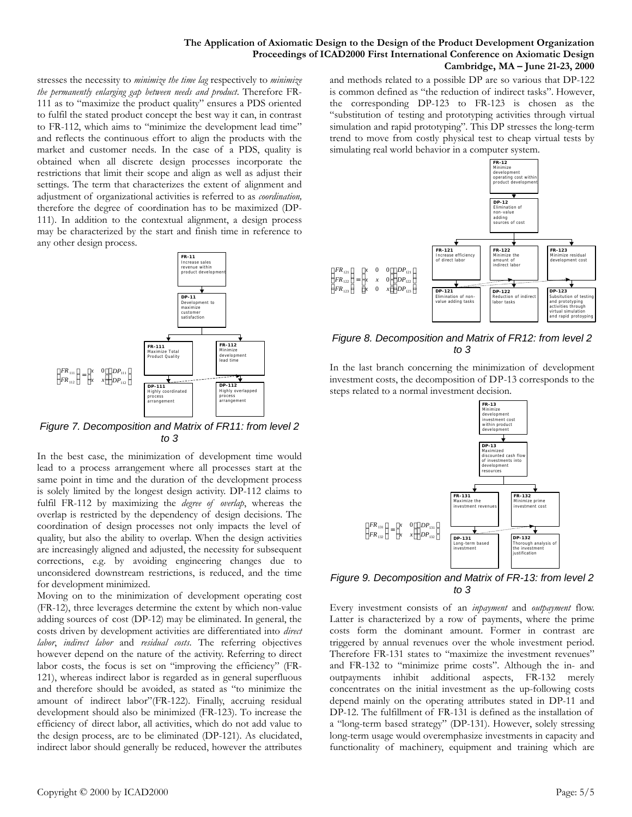stresses the necessity to *minimize the time lag* respectively to *minimize the permanently enlarging gap between needs and product*. Therefore FR-111 as to "maximize the product quality" ensures a PDS oriented to fulfil the stated product concept the best way it can, in contrast to FR-112, which aims to "minimize the development lead time" and reflects the continuous effort to align the products with the market and customer needs. In the case of a PDS, quality is obtained when all discrete design processes incorporate the restrictions that limit their scope and align as well as adjust their settings. The term that characterizes the extent of alignment and adjustment of organizational activities is referred to as *coordination,* therefore the degree of coordination has to be maximized (DP-111). In addition to the contextual alignment, a design process may be characterized by the start and finish time in reference to any other design process.



*Figure 7. Decomposition and Matrix of FR11: from level 2 to 3*

In the best case, the minimization of development time would lead to a process arrangement where all processes start at the same point in time and the duration of the development process is solely limited by the longest design activity. DP-112 claims to fulfil FR-112 by maximizing the *degree of overlap*, whereas the overlap is restricted by the dependency of design decisions. The coordination of design processes not only impacts the level of quality, but also the ability to overlap. When the design activities are increasingly aligned and adjusted, the necessity for subsequent corrections, e.g. by avoiding engineering changes due to unconsidered downstream restrictions, is reduced, and the time for development minimized.

Moving on to the minimization of development operating cost (FR-12), three leverages determine the extent by which non-value adding sources of cost (DP-12) may be eliminated. In general, the costs driven by development activities are differentiated into *direct labor*, *indirect labor* and *residual costs*. The referring objectives however depend on the nature of the activity. Referring to direct labor costs, the focus is set on "improving the efficiency" (FR-121), whereas indirect labor is regarded as in general superfluous and therefore should be avoided, as stated as "to minimize the amount of indirect labor"(FR-122). Finally, accruing residual development should also be minimized (FR-123). To increase the efficiency of direct labor, all activities, which do not add value to the design process, are to be eliminated (DP-121). As elucidated, indirect labor should generally be reduced, however the attributes and methods related to a possible DP are so various that DP-122 is common defined as "the reduction of indirect tasks". However, the corresponding DP-123 to FR-123 is chosen as the "substitution of testing and prototyping activities through virtual simulation and rapid prototyping". This DP stresses the long-term trend to move from costly physical test to cheap virtual tests by simulating real world behavior in a computer system.



*Figure 8. Decomposition and Matrix of FR12: from level 2 to 3*

In the last branch concerning the minimization of development investment costs, the decomposition of DP-13 corresponds to the steps related to a normal investment decision.



*Figure 9. Decomposition and Matrix of FR-13: from level 2 to 3*

 $\left\{$ 

Every investment consists of an *inpayment* and *outpayment* flow. Latter is characterized by a row of payments, where the prime costs form the dominant amount. Former in contrast are triggered by annual revenues over the whole investment period. Therefore FR-131 states to "maximize the investment revenues" and FR-132 to "minimize prime costs". Although the in- and outpayments inhibit additional aspects, FR-132 merely concentrates on the initial investment as the up-following costs depend mainly on the operating attributes stated in DP-11 and DP-12. The fulfillment of FR-131 is defined as the installation of a "long-term based strategy" (DP-131). However, solely stressing long-term usage would overemphasize investments in capacity and functionality of machinery, equipment and training which are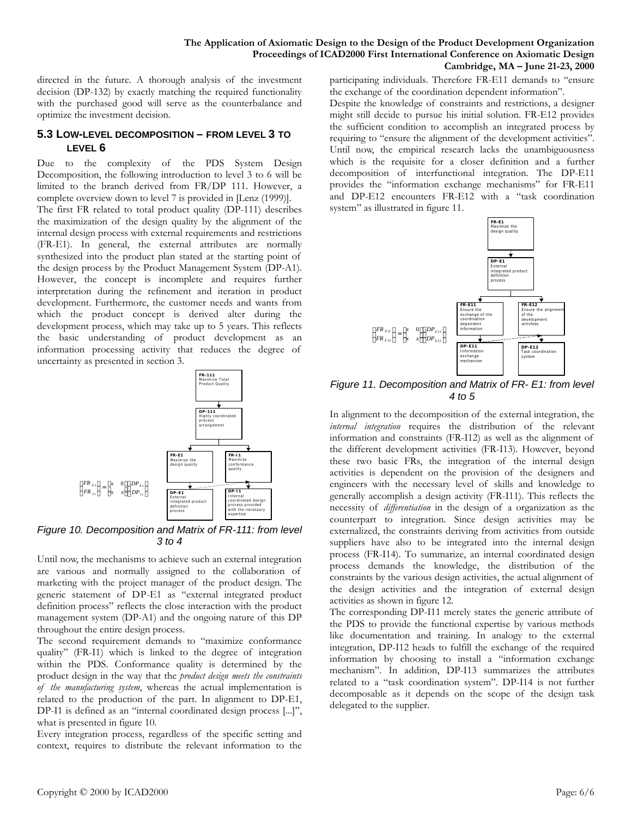directed in the future. A thorough analysis of the investment decision (DP-132) by exactly matching the required functionality with the purchased good will serve as the counterbalance and optimize the investment decision.

#### **5.3 LOW-LEVEL DECOMPOSITION – FROM LEVEL 3 TO LEVEL 6**

Due to the complexity of the PDS System Design Decomposition, the following introduction to level 3 to 6 will be limited to the branch derived from FR/DP 111. However, a complete overview down to level 7 is provided in [Lenz (1999)]. The first FR related to total product quality (DP-111) describes the maximization of the design quality by the alignment of the internal design process with external requirements and restrictions (FR-E1). In general, the external attributes are normally synthesized into the product plan stated at the starting point of the design process by the Product Management System (DP-A1). However, the concept is incomplete and requires further interpretation during the refinement and iteration in product development. Furthermore, the customer needs and wants from which the product concept is derived alter during the development process, which may take up to 5 years. This reflects the basic understanding of product development as an information processing activity that reduces the degree of uncertainty as presented in section 3.



*Figure 10. Decomposition and Matrix of FR-111: from level 3 to 4*

Until now, the mechanisms to achieve such an external integration are various and normally assigned to the collaboration of marketing with the project manager of the product design. The generic statement of DP-E1 as "external integrated product definition process" reflects the close interaction with the product management system (DP-A1) and the ongoing nature of this DP throughout the entire design process.

The second requirement demands to "maximize conformance quality" (FR-I1) which is linked to the degree of integration within the PDS. Conformance quality is determined by the product design in the way that the *product design meets the constraints of the manufacturing system*, whereas the actual implementation is related to the production of the part. In alignment to DP-E1, DP-I1 is defined as an "internal coordinated design process [...]", what is presented in figure 10.

Every integration process, regardless of the specific setting and context, requires to distribute the relevant information to the

participating individuals. Therefore FR-E11 demands to "ensure the exchange of the coordination dependent information".

Despite the knowledge of constraints and restrictions, a designer might still decide to pursue his initial solution. FR-E12 provides the sufficient condition to accomplish an integrated process by requiring to "ensure the alignment of the development activities". Until now, the empirical research lacks the unambiguousness which is the requisite for a closer definition and a further decomposition of interfunctional integration. The DP-E11 provides the "information exchange mechanisms" for FR-E11 and DP-E12 encounters FR-E12 with a "task coordination system" as illustrated in figure 11.



*Figure 11. Decomposition and Matrix of FR- E1: from level 4 to 5* 

In alignment to the decomposition of the external integration, the *internal integration* requires the distribution of the relevant information and constraints (FR-I12) as well as the alignment of the different development activities (FR-I13). However, beyond these two basic FRs, the integration of the internal design activities is dependent on the provision of the designers and engineers with the necessary level of skills and knowledge to generally accomplish a design activity (FR-I11). This reflects the necessity of *differentiation* in the design of a organization as the counterpart to integration. Since design activities may be externalized, the constraints deriving from activities from outside suppliers have also to be integrated into the internal design process (FR-I14). To summarize, an internal coordinated design process demands the knowledge, the distribution of the constraints by the various design activities, the actual alignment of the design activities and the integration of external design activities as shown in figure 12.

The corresponding DP-I11 merely states the generic attribute of the PDS to provide the functional expertise by various methods like documentation and training. In analogy to the external integration, DP-I12 heads to fulfill the exchange of the required information by choosing to install a "information exchange mechanism". In addition, DP-I13 summarizes the attributes related to a "task coordination system". DP-I14 is not further decomposable as it depends on the scope of the design task delegated to the supplier.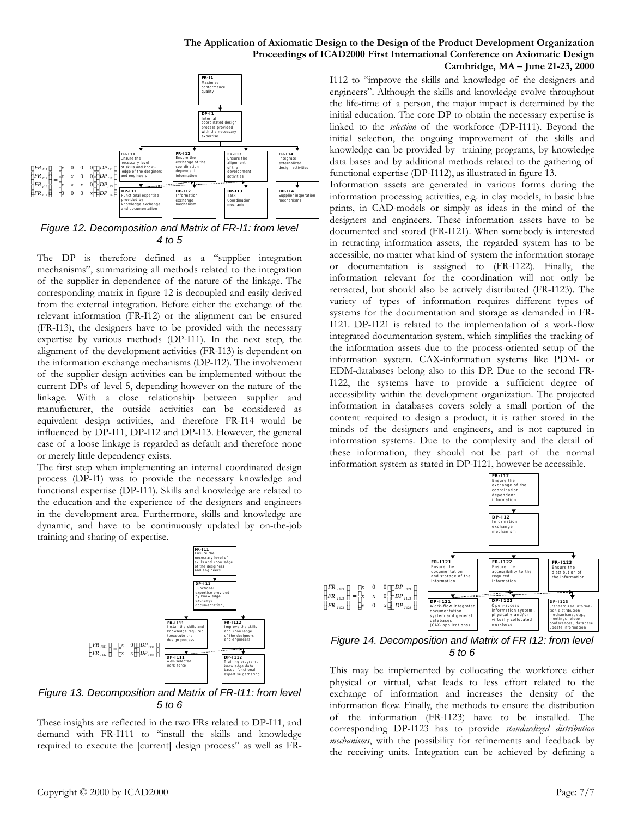#### **The Application of Axiomatic Design to the Design of the Product Development Organization Proceedings of ICAD2000 First International Conference on Axiomatic Design Cambridge, MA – June 21-23, 2000**



*Figure 12. Decomposition and Matrix of FR-I1: from level 4 to 5*

The DP is therefore defined as a "supplier integration mechanisms", summarizing all methods related to the integration of the supplier in dependence of the nature of the linkage. The corresponding matrix in figure 12 is decoupled and easily derived from the external integration. Before either the exchange of the relevant information (FR-I12) or the alignment can be ensured (FR-I13), the designers have to be provided with the necessary expertise by various methods (DP-I11). In the next step, the alignment of the development activities (FR-I13) is dependent on the information exchange mechanisms (DP-I12). The involvement of the supplier design activities can be implemented without the current DPs of level 5, depending however on the nature of the linkage. With a close relationship between supplier and manufacturer, the outside activities can be considered as equivalent design activities, and therefore FR-I14 would be influenced by DP-I11, DP-I12 and DP-I13. However, the general case of a loose linkage is regarded as default and therefore none or merely little dependency exists.

The first step when implementing an internal coordinated design process (DP-I1) was to provide the necessary knowledge and functional expertise (DP-I11). Skills and knowledge are related to the education and the experience of the designers and engineers in the development area. Furthermore, skills and knowledge are dynamic, and have to be continuously updated by on-the-job training and sharing of expertise.



*Figure 13. Decomposition and Matrix of FR-I11: from level 5 to 6*

These insights are reflected in the two FRs related to DP-I11, and demand with FR-I111 to "install the skills and knowledge required to execute the [current] design process" as well as FR-

L L I J ł I ι 123  $\Omega$ *I FR*

# Copyright © 2000 by ICAD2000 Page: 7/7

I112 to "improve the skills and knowledge of the designers and engineers". Although the skills and knowledge evolve throughout the life-time of a person, the major impact is determined by the initial education. The core DP to obtain the necessary expertise is linked to the *selection* of the workforce (DP-I111). Beyond the initial selection, the ongoing improvement of the skills and knowledge can be provided by training programs, by knowledge data bases and by additional methods related to the gathering of functional expertise (DP-I112), as illustrated in figure 13.

Information assets are generated in various forms during the information processing activities, e.g. in clay models, in basic blue prints, in CAD-models or simply as ideas in the mind of the designers and engineers. These information assets have to be documented and stored (FR-I121). When somebody is interested in retracting information assets, the regarded system has to be accessible, no matter what kind of system the information storage or documentation is assigned to (FR-I122). Finally, the information relevant for the coordination will not only be retracted, but should also be actively distributed (FR-I123). The variety of types of information requires different types of systems for the documentation and storage as demanded in FR-I121. DP-I121 is related to the implementation of a work-flow integrated documentation system, which simplifies the tracking of the information assets due to the process-oriented setup of the information system. CAX-information systems like PDM- or EDM-databases belong also to this DP. Due to the second FR-I122, the systems have to provide a sufficient degree of accessibility within the development organization. The projected information in databases covers solely a small portion of the content required to design a product, it is rather stored in the minds of the designers and engineers, and is not captured in information systems. Due to the complexity and the detail of these information, they should not be part of the normal information system as stated in DP-I121, however be accessible.



*Figure 14. Decomposition and Matrix of FR I12: from level 5 to 6*

This may be implemented by collocating the workforce either physical or virtual, what leads to less effort related to the exchange of information and increases the density of the information flow. Finally, the methods to ensure the distribution of the information (FR-I123) have to be installed. The corresponding DP-I123 has to provide *standardized distribution mechanisms*, with the possibility for refinements and feedback by the receiving units. Integration can be achieved by defining a